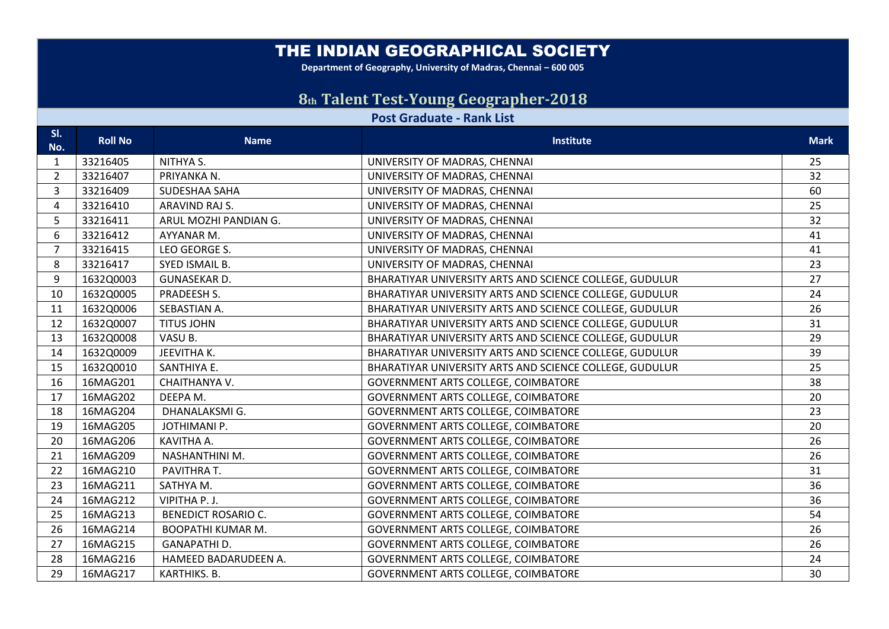## THE INDIAN GEOGRAPHICAL SOCIETY

**Department of Geography, University of Madras, Chennai - 600 005** 

## **th Talent Test-Young Geographer-2018**

## **Post Graduate - Rank List**

| SI.<br>No.     | <b>Roll No</b> | <b>Name</b>                | Institute                                               | <b>Mark</b> |
|----------------|----------------|----------------------------|---------------------------------------------------------|-------------|
| $\mathbf{1}$   | 33216405       | NITHYA S.                  | UNIVERSITY OF MADRAS, CHENNAI                           | 25          |
| $\overline{2}$ | 33216407       | PRIYANKA N.                | UNIVERSITY OF MADRAS, CHENNAI                           | 32          |
| $\overline{3}$ | 33216409       | SUDESHAA SAHA              | UNIVERSITY OF MADRAS, CHENNAI                           | 60          |
| $\overline{4}$ | 33216410       | ARAVIND RAJ S.             | UNIVERSITY OF MADRAS, CHENNAI                           | 25          |
| 5              | 33216411       | ARUL MOZHI PANDIAN G.      | UNIVERSITY OF MADRAS, CHENNAI                           | 32          |
| 6              | 33216412       | AYYANAR M.                 | UNIVERSITY OF MADRAS, CHENNAI                           | 41          |
| $\overline{7}$ | 33216415       | LEO GEORGE S.              | UNIVERSITY OF MADRAS, CHENNAI                           | 41          |
| 8              | 33216417       | <b>SYED ISMAIL B.</b>      | UNIVERSITY OF MADRAS, CHENNAI                           | 23          |
| 9              | 1632Q0003      | GUNASEKAR D.               | BHARATIYAR UNIVERSITY ARTS AND SCIENCE COLLEGE, GUDULUR | 27          |
| 10             | 1632Q0005      | PRADEESH S.                | BHARATIYAR UNIVERSITY ARTS AND SCIENCE COLLEGE, GUDULUR | 24          |
| 11             | 1632Q0006      | SEBASTIAN A.               | BHARATIYAR UNIVERSITY ARTS AND SCIENCE COLLEGE, GUDULUR | 26          |
| 12             | 1632Q0007      | <b>TITUS JOHN</b>          | BHARATIYAR UNIVERSITY ARTS AND SCIENCE COLLEGE, GUDULUR | 31          |
| 13             | 1632Q0008      | VASU B.                    | BHARATIYAR UNIVERSITY ARTS AND SCIENCE COLLEGE, GUDULUR | 29          |
| 14             | 1632Q0009      | JEEVITHA K.                | BHARATIYAR UNIVERSITY ARTS AND SCIENCE COLLEGE, GUDULUR | 39          |
| 15             | 1632Q0010      | SANTHIYA E.                | BHARATIYAR UNIVERSITY ARTS AND SCIENCE COLLEGE, GUDULUR | 25          |
| 16             | 16MAG201       | CHAITHANYA V.              | <b>GOVERNMENT ARTS COLLEGE, COIMBATORE</b>              | 38          |
| 17             | 16MAG202       | DEEPA M.                   | GOVERNMENT ARTS COLLEGE, COIMBATORE                     | 20          |
| 18             | 16MAG204       | <b>DHANALAKSMI G.</b>      | GOVERNMENT ARTS COLLEGE, COIMBATORE                     | 23          |
| 19             | 16MAG205       | JOTHIMANI P.               | GOVERNMENT ARTS COLLEGE, COIMBATORE                     | 20          |
| 20             | 16MAG206       | KAVITHA A.                 | GOVERNMENT ARTS COLLEGE, COIMBATORE                     | 26          |
| 21             | 16MAG209       | NASHANTHINI M.             | <b>GOVERNMENT ARTS COLLEGE, COIMBATORE</b>              | 26          |
| 22             | 16MAG210       | PAVITHRA T.                | GOVERNMENT ARTS COLLEGE, COIMBATORE                     | 31          |
| 23             | 16MAG211       | SATHYA M.                  | GOVERNMENT ARTS COLLEGE, COIMBATORE                     | 36          |
| 24             | 16MAG212       | VIPITHA P. J.              | GOVERNMENT ARTS COLLEGE, COIMBATORE                     | 36          |
| 25             | 16MAG213       | <b>BENEDICT ROSARIO C.</b> | GOVERNMENT ARTS COLLEGE, COIMBATORE                     | 54          |
| 26             | 16MAG214       | <b>BOOPATHI KUMAR M.</b>   | GOVERNMENT ARTS COLLEGE, COIMBATORE                     | 26          |
| 27             | 16MAG215       | <b>GANAPATHI D.</b>        | GOVERNMENT ARTS COLLEGE, COIMBATORE                     | 26          |
| 28             | 16MAG216       | HAMEED BADARUDEEN A.       | GOVERNMENT ARTS COLLEGE, COIMBATORE                     | 24          |
| 29             | 16MAG217       | KARTHIKS. B.               | GOVERNMENT ARTS COLLEGE, COIMBATORE                     | 30          |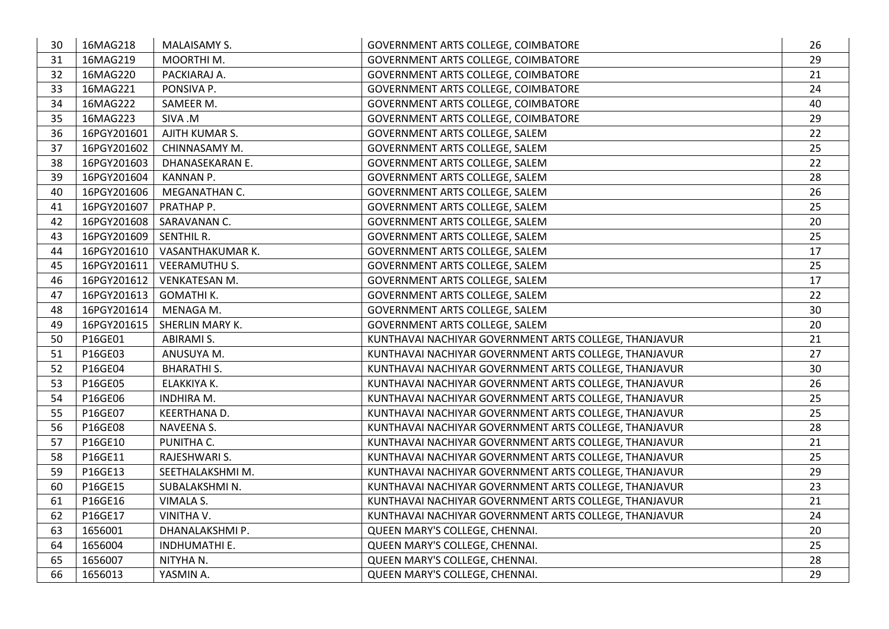| 30 | 16MAG218    | MALAISAMY S.         | GOVERNMENT ARTS COLLEGE, COIMBATORE                   | 26 |
|----|-------------|----------------------|-------------------------------------------------------|----|
| 31 | 16MAG219    | MOORTHIM.            | GOVERNMENT ARTS COLLEGE, COIMBATORE                   | 29 |
| 32 | 16MAG220    | PACKIARAJ A.         | GOVERNMENT ARTS COLLEGE, COIMBATORE                   | 21 |
| 33 | 16MAG221    | PONSIVA P.           | GOVERNMENT ARTS COLLEGE, COIMBATORE                   | 24 |
| 34 | 16MAG222    | SAMEER M.            | GOVERNMENT ARTS COLLEGE, COIMBATORE                   | 40 |
| 35 | 16MAG223    | SIVA .M              | GOVERNMENT ARTS COLLEGE, COIMBATORE                   | 29 |
| 36 | 16PGY201601 | AJITH KUMAR S.       | GOVERNMENT ARTS COLLEGE, SALEM                        | 22 |
| 37 | 16PGY201602 | CHINNASAMY M.        | GOVERNMENT ARTS COLLEGE, SALEM                        | 25 |
| 38 | 16PGY201603 | DHANASEKARAN E.      | GOVERNMENT ARTS COLLEGE, SALEM                        | 22 |
| 39 | 16PGY201604 | KANNAN P.            | GOVERNMENT ARTS COLLEGE, SALEM                        | 28 |
| 40 | 16PGY201606 | MEGANATHAN C.        | GOVERNMENT ARTS COLLEGE, SALEM                        | 26 |
| 41 | 16PGY201607 | PRATHAP P.           | GOVERNMENT ARTS COLLEGE, SALEM                        | 25 |
| 42 | 16PGY201608 | SARAVANAN C.         | GOVERNMENT ARTS COLLEGE, SALEM                        | 20 |
| 43 | 16PGY201609 | <b>SENTHIL R.</b>    | GOVERNMENT ARTS COLLEGE, SALEM                        | 25 |
| 44 | 16PGY201610 | VASANTHAKUMAR K.     | GOVERNMENT ARTS COLLEGE, SALEM                        | 17 |
| 45 | 16PGY201611 | VEERAMUTHU S.        | GOVERNMENT ARTS COLLEGE, SALEM                        | 25 |
| 46 | 16PGY201612 | VENKATESAN M.        | GOVERNMENT ARTS COLLEGE, SALEM                        | 17 |
| 47 | 16PGY201613 | <b>GOMATHI K.</b>    | GOVERNMENT ARTS COLLEGE, SALEM                        | 22 |
| 48 | 16PGY201614 | MENAGA M.            | GOVERNMENT ARTS COLLEGE, SALEM                        | 30 |
| 49 | 16PGY201615 | SHERLIN MARY K.      | GOVERNMENT ARTS COLLEGE, SALEM                        | 20 |
| 50 | P16GE01     | <b>ABIRAMI S.</b>    | KUNTHAVAI NACHIYAR GOVERNMENT ARTS COLLEGE, THANJAVUR | 21 |
| 51 | P16GE03     | ANUSUYA M.           | KUNTHAVAI NACHIYAR GOVERNMENT ARTS COLLEGE, THANJAVUR | 27 |
| 52 | P16GE04     | <b>BHARATHI S.</b>   | KUNTHAVAI NACHIYAR GOVERNMENT ARTS COLLEGE, THANJAVUR | 30 |
| 53 | P16GE05     | ELAKKIYA K.          | KUNTHAVAI NACHIYAR GOVERNMENT ARTS COLLEGE, THANJAVUR | 26 |
| 54 | P16GE06     | INDHIRA M.           | KUNTHAVAI NACHIYAR GOVERNMENT ARTS COLLEGE, THANJAVUR | 25 |
| 55 | P16GE07     | KEERTHANA D.         | KUNTHAVAI NACHIYAR GOVERNMENT ARTS COLLEGE, THANJAVUR | 25 |
| 56 | P16GE08     | NAVEENA S.           | KUNTHAVAI NACHIYAR GOVERNMENT ARTS COLLEGE, THANJAVUR | 28 |
| 57 | P16GE10     | PUNITHA C.           | KUNTHAVAI NACHIYAR GOVERNMENT ARTS COLLEGE, THANJAVUR | 21 |
| 58 | P16GE11     | RAJESHWARI S.        | KUNTHAVAI NACHIYAR GOVERNMENT ARTS COLLEGE, THANJAVUR | 25 |
| 59 | P16GE13     | SEETHALAKSHMI M.     | KUNTHAVAI NACHIYAR GOVERNMENT ARTS COLLEGE, THANJAVUR | 29 |
| 60 | P16GE15     | SUBALAKSHMIN.        | KUNTHAVAI NACHIYAR GOVERNMENT ARTS COLLEGE, THANJAVUR | 23 |
| 61 | P16GE16     | VIMALA S.            | KUNTHAVAI NACHIYAR GOVERNMENT ARTS COLLEGE, THANJAVUR | 21 |
| 62 | P16GE17     | VINITHA V.           | KUNTHAVAI NACHIYAR GOVERNMENT ARTS COLLEGE, THANJAVUR | 24 |
| 63 | 1656001     | DHANALAKSHMI P.      | QUEEN MARY'S COLLEGE, CHENNAI.                        | 20 |
| 64 | 1656004     | <b>INDHUMATHI E.</b> | QUEEN MARY'S COLLEGE, CHENNAI.                        | 25 |
| 65 | 1656007     | NITYHA N.            | QUEEN MARY'S COLLEGE, CHENNAI.                        | 28 |
| 66 | 1656013     | YASMIN A.            | QUEEN MARY'S COLLEGE, CHENNAI.                        | 29 |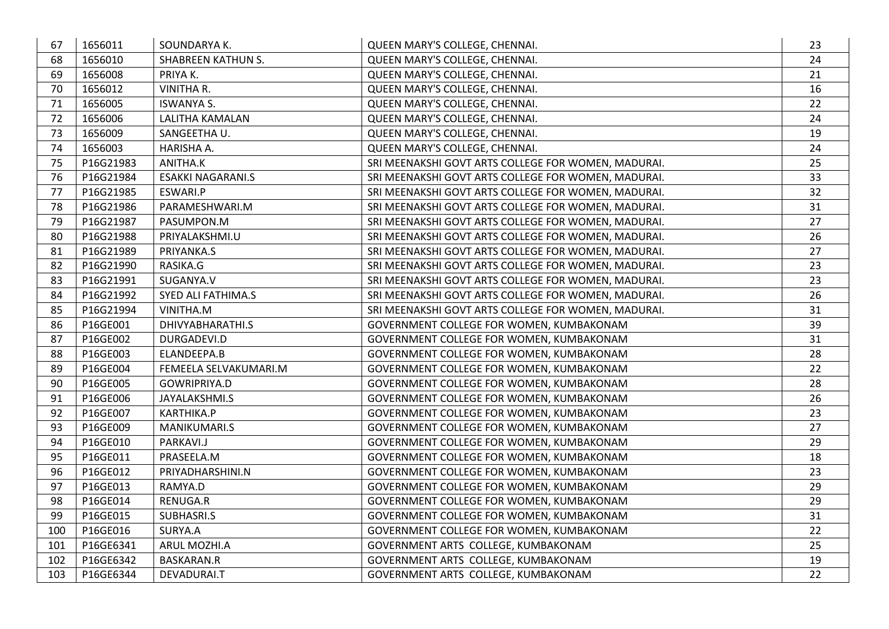| 67  | 1656011   | SOUNDARYA K.              | QUEEN MARY'S COLLEGE, CHENNAI.                      | 23 |
|-----|-----------|---------------------------|-----------------------------------------------------|----|
| 68  | 1656010   | <b>SHABREEN KATHUN S.</b> | QUEEN MARY'S COLLEGE, CHENNAI.                      | 24 |
| 69  | 1656008   | PRIYA K.                  | QUEEN MARY'S COLLEGE, CHENNAI.                      | 21 |
| 70  | 1656012   | VINITHA R.                | QUEEN MARY'S COLLEGE, CHENNAI.                      | 16 |
| 71  | 1656005   | <b>ISWANYA S.</b>         | QUEEN MARY'S COLLEGE, CHENNAI.                      | 22 |
| 72  | 1656006   | LALITHA KAMALAN           | QUEEN MARY'S COLLEGE, CHENNAI.                      | 24 |
| 73  | 1656009   | SANGEETHA U.              | QUEEN MARY'S COLLEGE, CHENNAI.                      | 19 |
| 74  | 1656003   | HARISHA A.                | QUEEN MARY'S COLLEGE, CHENNAI.                      | 24 |
| 75  | P16G21983 | ANITHA.K                  | SRI MEENAKSHI GOVT ARTS COLLEGE FOR WOMEN, MADURAI. | 25 |
| 76  | P16G21984 | <b>ESAKKI NAGARANI.S</b>  | SRI MEENAKSHI GOVT ARTS COLLEGE FOR WOMEN, MADURAI. | 33 |
| 77  | P16G21985 | ESWARI.P                  | SRI MEENAKSHI GOVT ARTS COLLEGE FOR WOMEN, MADURAI. | 32 |
| 78  | P16G21986 | PARAMESHWARI.M            | SRI MEENAKSHI GOVT ARTS COLLEGE FOR WOMEN, MADURAI. | 31 |
| 79  | P16G21987 | PASUMPON.M                | SRI MEENAKSHI GOVT ARTS COLLEGE FOR WOMEN, MADURAI. | 27 |
| 80  | P16G21988 | PRIYALAKSHMI.U            | SRI MEENAKSHI GOVT ARTS COLLEGE FOR WOMEN, MADURAI. | 26 |
| 81  | P16G21989 | PRIYANKA.S                | SRI MEENAKSHI GOVT ARTS COLLEGE FOR WOMEN, MADURAI. | 27 |
| 82  | P16G21990 | RASIKA.G                  | SRI MEENAKSHI GOVT ARTS COLLEGE FOR WOMEN, MADURAI. | 23 |
| 83  | P16G21991 | SUGANYA.V                 | SRI MEENAKSHI GOVT ARTS COLLEGE FOR WOMEN, MADURAI. | 23 |
| 84  | P16G21992 | <b>SYED ALI FATHIMA.S</b> | SRI MEENAKSHI GOVT ARTS COLLEGE FOR WOMEN, MADURAI. | 26 |
| 85  | P16G21994 | VINITHA.M                 | SRI MEENAKSHI GOVT ARTS COLLEGE FOR WOMEN, MADURAI. | 31 |
| 86  | P16GE001  | DHIVYABHARATHI.S          | GOVERNMENT COLLEGE FOR WOMEN, KUMBAKONAM            | 39 |
| 87  | P16GE002  | DURGADEVI.D               | GOVERNMENT COLLEGE FOR WOMEN, KUMBAKONAM            | 31 |
| 88  | P16GE003  | ELANDEEPA.B               | GOVERNMENT COLLEGE FOR WOMEN, KUMBAKONAM            | 28 |
| 89  | P16GE004  | FEMEELA SELVAKUMARI.M     | GOVERNMENT COLLEGE FOR WOMEN, KUMBAKONAM            | 22 |
| 90  | P16GE005  | GOWRIPRIYA.D              | GOVERNMENT COLLEGE FOR WOMEN, KUMBAKONAM            | 28 |
| 91  | P16GE006  | JAYALAKSHMI.S             | GOVERNMENT COLLEGE FOR WOMEN, KUMBAKONAM            | 26 |
| 92  | P16GE007  | KARTHIKA.P                | GOVERNMENT COLLEGE FOR WOMEN, KUMBAKONAM            | 23 |
| 93  | P16GE009  | MANIKUMARI.S              | GOVERNMENT COLLEGE FOR WOMEN, KUMBAKONAM            | 27 |
| 94  | P16GE010  | PARKAVI.J                 | GOVERNMENT COLLEGE FOR WOMEN, KUMBAKONAM            | 29 |
| 95  | P16GE011  | PRASEELA.M                | GOVERNMENT COLLEGE FOR WOMEN, KUMBAKONAM            | 18 |
| 96  | P16GE012  | PRIYADHARSHINI.N          | GOVERNMENT COLLEGE FOR WOMEN, KUMBAKONAM            | 23 |
| 97  | P16GE013  | RAMYA.D                   | GOVERNMENT COLLEGE FOR WOMEN, KUMBAKONAM            | 29 |
| 98  | P16GE014  | RENUGA.R                  | GOVERNMENT COLLEGE FOR WOMEN, KUMBAKONAM            | 29 |
| 99  | P16GE015  | SUBHASRI.S                | GOVERNMENT COLLEGE FOR WOMEN, KUMBAKONAM            | 31 |
| 100 | P16GE016  | SURYA.A                   | GOVERNMENT COLLEGE FOR WOMEN, KUMBAKONAM            | 22 |
| 101 | P16GE6341 | ARUL MOZHI.A              | GOVERNMENT ARTS COLLEGE, KUMBAKONAM                 | 25 |
| 102 | P16GE6342 | <b>BASKARAN.R</b>         | GOVERNMENT ARTS COLLEGE, KUMBAKONAM                 | 19 |
| 103 | P16GE6344 | DEVADURAI.T               | GOVERNMENT ARTS COLLEGE, KUMBAKONAM                 | 22 |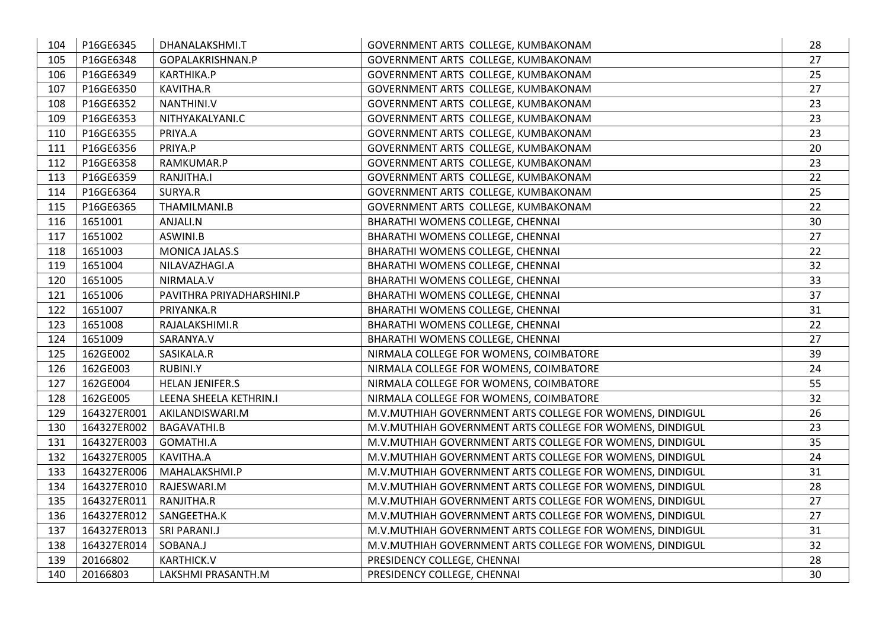| 104 | P16GE6345   | DHANALAKSHMI.T            | GOVERNMENT ARTS COLLEGE, KUMBAKONAM                      | 28 |
|-----|-------------|---------------------------|----------------------------------------------------------|----|
| 105 | P16GE6348   | GOPALAKRISHNAN.P          | GOVERNMENT ARTS COLLEGE, KUMBAKONAM                      | 27 |
| 106 | P16GE6349   | KARTHIKA.P                | GOVERNMENT ARTS COLLEGE, KUMBAKONAM                      | 25 |
| 107 | P16GE6350   | <b>KAVITHA.R</b>          | GOVERNMENT ARTS COLLEGE, KUMBAKONAM                      | 27 |
| 108 | P16GE6352   | NANTHINI.V                | GOVERNMENT ARTS COLLEGE, KUMBAKONAM                      | 23 |
| 109 | P16GE6353   | NITHYAKALYANI.C           | GOVERNMENT ARTS COLLEGE, KUMBAKONAM                      | 23 |
| 110 | P16GE6355   | PRIYA.A                   | GOVERNMENT ARTS COLLEGE, KUMBAKONAM                      | 23 |
| 111 | P16GE6356   | PRIYA.P                   | GOVERNMENT ARTS COLLEGE, KUMBAKONAM                      | 20 |
| 112 | P16GE6358   | RAMKUMAR.P                | GOVERNMENT ARTS COLLEGE, KUMBAKONAM                      | 23 |
| 113 | P16GE6359   | RANJITHA.I                | GOVERNMENT ARTS COLLEGE, KUMBAKONAM                      | 22 |
| 114 | P16GE6364   | SURYA.R                   | GOVERNMENT ARTS COLLEGE, KUMBAKONAM                      | 25 |
| 115 | P16GE6365   | THAMILMANI.B              | GOVERNMENT ARTS COLLEGE, KUMBAKONAM                      | 22 |
| 116 | 1651001     | ANJALI.N                  | BHARATHI WOMENS COLLEGE, CHENNAI                         | 30 |
| 117 | 1651002     | ASWINI.B                  | BHARATHI WOMENS COLLEGE, CHENNAI                         | 27 |
| 118 | 1651003     | MONICA JALAS.S            | BHARATHI WOMENS COLLEGE, CHENNAI                         | 22 |
| 119 | 1651004     | NILAVAZHAGI.A             | BHARATHI WOMENS COLLEGE, CHENNAI                         | 32 |
| 120 | 1651005     | NIRMALA.V                 | BHARATHI WOMENS COLLEGE, CHENNAI                         | 33 |
| 121 | 1651006     | PAVITHRA PRIYADHARSHINI.P | BHARATHI WOMENS COLLEGE, CHENNAI                         | 37 |
| 122 | 1651007     | PRIYANKA.R                | BHARATHI WOMENS COLLEGE, CHENNAI                         | 31 |
| 123 | 1651008     | RAJALAKSHIMI.R            | BHARATHI WOMENS COLLEGE, CHENNAI                         | 22 |
| 124 | 1651009     | SARANYA.V                 | BHARATHI WOMENS COLLEGE, CHENNAI                         | 27 |
| 125 | 162GE002    | SASIKALA.R                | NIRMALA COLLEGE FOR WOMENS, COIMBATORE                   | 39 |
| 126 | 162GE003    | RUBINI.Y                  | NIRMALA COLLEGE FOR WOMENS, COIMBATORE                   | 24 |
| 127 | 162GE004    | <b>HELAN JENIFER.S</b>    | NIRMALA COLLEGE FOR WOMENS, COIMBATORE                   | 55 |
| 128 | 162GE005    | LEENA SHEELA KETHRIN.I    | NIRMALA COLLEGE FOR WOMENS, COIMBATORE                   | 32 |
| 129 | 164327ER001 | AKILANDISWARI.M           | M.V.MUTHIAH GOVERNMENT ARTS COLLEGE FOR WOMENS, DINDIGUL | 26 |
| 130 | 164327ER002 | <b>BAGAVATHI.B</b>        | M.V.MUTHIAH GOVERNMENT ARTS COLLEGE FOR WOMENS, DINDIGUL | 23 |
| 131 | 164327ER003 | GOMATHI.A                 | M.V.MUTHIAH GOVERNMENT ARTS COLLEGE FOR WOMENS, DINDIGUL | 35 |
| 132 | 164327ER005 | KAVITHA.A                 | M.V.MUTHIAH GOVERNMENT ARTS COLLEGE FOR WOMENS, DINDIGUL | 24 |
| 133 | 164327ER006 | MAHALAKSHMI.P             | M.V.MUTHIAH GOVERNMENT ARTS COLLEGE FOR WOMENS, DINDIGUL | 31 |
| 134 | 164327ER010 | RAJESWARI.M               | M.V.MUTHIAH GOVERNMENT ARTS COLLEGE FOR WOMENS, DINDIGUL | 28 |
| 135 | 164327ER011 | RANJITHA.R                | M.V.MUTHIAH GOVERNMENT ARTS COLLEGE FOR WOMENS, DINDIGUL | 27 |
| 136 | 164327ER012 | SANGEETHA.K               | M.V.MUTHIAH GOVERNMENT ARTS COLLEGE FOR WOMENS, DINDIGUL | 27 |
| 137 | 164327ER013 | SRI PARANI.J              | M.V.MUTHIAH GOVERNMENT ARTS COLLEGE FOR WOMENS, DINDIGUL | 31 |
| 138 | 164327ER014 | SOBANA.J                  | M.V.MUTHIAH GOVERNMENT ARTS COLLEGE FOR WOMENS, DINDIGUL | 32 |
| 139 | 20166802    | <b>KARTHICK.V</b>         | PRESIDENCY COLLEGE, CHENNAI                              | 28 |
| 140 | 20166803    | LAKSHMI PRASANTH.M        | PRESIDENCY COLLEGE, CHENNAI                              | 30 |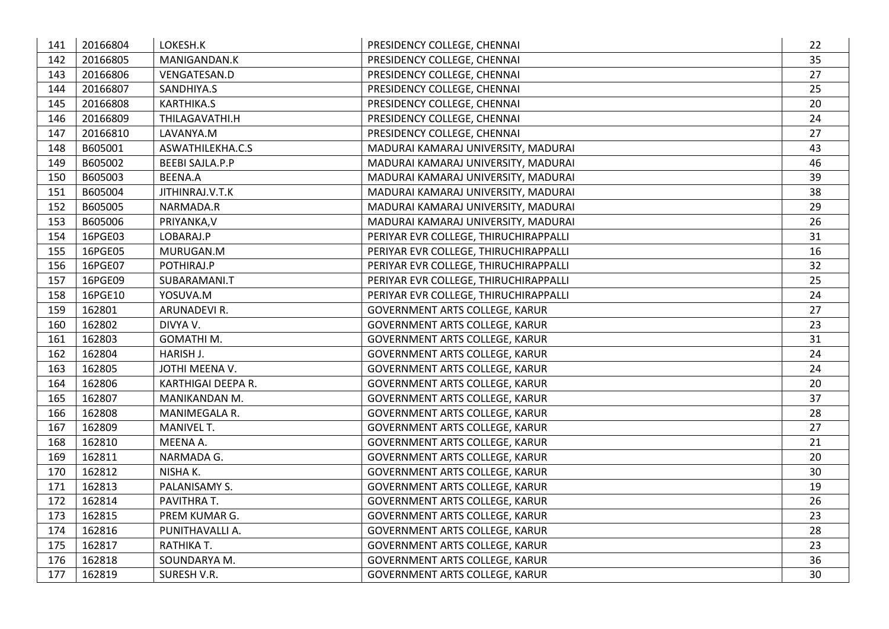| 141 | 20166804 | LOKESH.K               | PRESIDENCY COLLEGE, CHENNAI           | 22 |
|-----|----------|------------------------|---------------------------------------|----|
| 142 | 20166805 | MANIGANDAN.K           | PRESIDENCY COLLEGE, CHENNAI           | 35 |
| 143 | 20166806 | VENGATESAN.D           | PRESIDENCY COLLEGE, CHENNAI           | 27 |
| 144 | 20166807 | SANDHIYA.S             | PRESIDENCY COLLEGE, CHENNAI           | 25 |
| 145 | 20166808 | <b>KARTHIKA.S</b>      | PRESIDENCY COLLEGE, CHENNAI           | 20 |
| 146 | 20166809 | THILAGAVATHI.H         | PRESIDENCY COLLEGE, CHENNAI           | 24 |
| 147 | 20166810 | LAVANYA.M              | PRESIDENCY COLLEGE, CHENNAI           | 27 |
| 148 | B605001  | ASWATHILEKHA.C.S       | MADURAI KAMARAJ UNIVERSITY, MADURAI   | 43 |
| 149 | B605002  | <b>BEEBI SAJLA.P.P</b> | MADURAI KAMARAJ UNIVERSITY, MADURAI   | 46 |
| 150 | B605003  | <b>BEENA.A</b>         | MADURAI KAMARAJ UNIVERSITY, MADURAI   | 39 |
| 151 | B605004  | JITHINRAJ.V.T.K        | MADURAI KAMARAJ UNIVERSITY, MADURAI   | 38 |
| 152 | B605005  | NARMADA.R              | MADURAI KAMARAJ UNIVERSITY, MADURAI   | 29 |
| 153 | B605006  | PRIYANKA, V            | MADURAI KAMARAJ UNIVERSITY, MADURAI   | 26 |
| 154 | 16PGE03  | LOBARAJ.P              | PERIYAR EVR COLLEGE, THIRUCHIRAPPALLI | 31 |
| 155 | 16PGE05  | MURUGAN.M              | PERIYAR EVR COLLEGE, THIRUCHIRAPPALLI | 16 |
| 156 | 16PGE07  | POTHIRAJ.P             | PERIYAR EVR COLLEGE, THIRUCHIRAPPALLI | 32 |
| 157 | 16PGE09  | SUBARAMANI.T           | PERIYAR EVR COLLEGE, THIRUCHIRAPPALLI | 25 |
| 158 | 16PGE10  | YOSUVA.M               | PERIYAR EVR COLLEGE, THIRUCHIRAPPALLI | 24 |
| 159 | 162801   | ARUNADEVI R.           | GOVERNMENT ARTS COLLEGE, KARUR        | 27 |
| 160 | 162802   | DIVYA V.               | GOVERNMENT ARTS COLLEGE, KARUR        | 23 |
| 161 | 162803   | GOMATHI M.             | GOVERNMENT ARTS COLLEGE, KARUR        | 31 |
| 162 | 162804   | HARISH J.              | GOVERNMENT ARTS COLLEGE, KARUR        | 24 |
| 163 | 162805   | JOTHI MEENA V.         | GOVERNMENT ARTS COLLEGE, KARUR        | 24 |
| 164 | 162806   | KARTHIGAI DEEPA R.     | <b>GOVERNMENT ARTS COLLEGE, KARUR</b> | 20 |
| 165 | 162807   | MANIKANDAN M.          | <b>GOVERNMENT ARTS COLLEGE, KARUR</b> | 37 |
| 166 | 162808   | MANIMEGALA R.          | <b>GOVERNMENT ARTS COLLEGE, KARUR</b> | 28 |
| 167 | 162809   | <b>MANIVEL T.</b>      | <b>GOVERNMENT ARTS COLLEGE, KARUR</b> | 27 |
| 168 | 162810   | MEENA A.               | <b>GOVERNMENT ARTS COLLEGE, KARUR</b> | 21 |
| 169 | 162811   | NARMADA G.             | <b>GOVERNMENT ARTS COLLEGE, KARUR</b> | 20 |
| 170 | 162812   | NISHA K.               | GOVERNMENT ARTS COLLEGE, KARUR        | 30 |
| 171 | 162813   | PALANISAMY S.          | GOVERNMENT ARTS COLLEGE, KARUR        | 19 |
| 172 | 162814   | PAVITHRA T.            | <b>GOVERNMENT ARTS COLLEGE, KARUR</b> | 26 |
| 173 | 162815   | PREM KUMAR G.          | <b>GOVERNMENT ARTS COLLEGE, KARUR</b> | 23 |
| 174 | 162816   | PUNITHAVALLI A.        | <b>GOVERNMENT ARTS COLLEGE, KARUR</b> | 28 |
| 175 | 162817   | RATHIKA T.             | <b>GOVERNMENT ARTS COLLEGE, KARUR</b> | 23 |
| 176 | 162818   | SOUNDARYA M.           | <b>GOVERNMENT ARTS COLLEGE, KARUR</b> | 36 |
| 177 | 162819   | SURESH V.R.            | <b>GOVERNMENT ARTS COLLEGE, KARUR</b> | 30 |